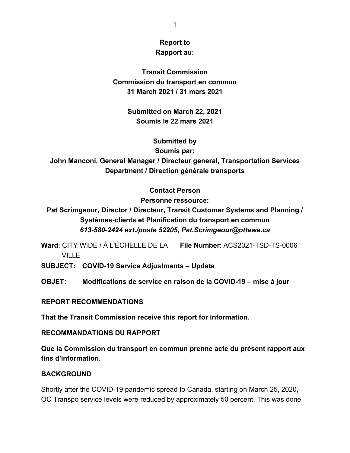# **Report to Rapport au:**

**Transit Commission Commission du transport en commun 31 March 2021 / 31 mars 2021**

> **Submitted on March 22, 2021 Soumis le 22 mars 2021**

### **Submitted by**

**Soumis par:**

**John Manconi, General Manager / Directeur general, Transportation Services Department / Direction générale transports**

> **Contact Person Personne ressource:**

**Pat Scrimgeour, Director / Directeur, Transit Customer Systems and Planning / Systèmes-clients et Planification du transport en commun** *613-580-2424 ext./poste 52205, Pat.Scrimgeour@ottawa.ca*

**Ward**: CITY WIDE / À L'ÉCHELLE DE LA **File Number**: ACS2021-TSD-TS-0006 **VILLE** 

**SUBJECT: COVID-19 Service Adjustments – Update**

**OBJET: Modifications de service en raison de la COVID-19 – mise à jour**

### **REPORT RECOMMENDATIONS**

**That the Transit Commission receive this report for information.**

### **RECOMMANDATIONS DU RAPPORT**

**Que la Commission du transport en commun prenne acte du présent rapport aux fins d'information.**

## **BACKGROUND**

Shortly after the COVID-19 pandemic spread to Canada, starting on March 25, 2020, OC Transpo service levels were reduced by approximately 50 percent. This was done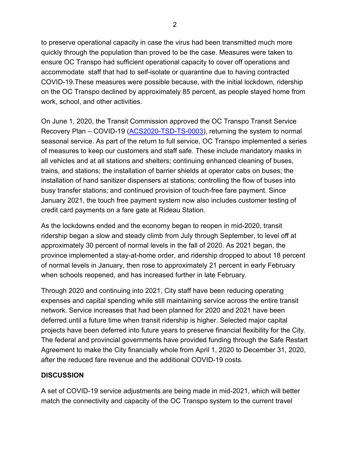to preserve operational capacity in case the virus had been transmitted much more quickly through the population than proved to be the case. Measures were taken to ensure OC Transpo had sufficient operational capacity to cover off operations and accommodate staff that had to self-isolate or quarantine due to having contracted COVID-19.These measures were possible because, with the initial lockdown, ridership on the OC Transpo declined by approximately 85 percent, as people stayed home from work, school, and other activities.

On June 1, 2020, the Transit Commission approved the OC Transpo Transit Service Recovery Plan – COVID-19 [\(ACS2020-TSD-TS-0003\)](http://app05.ottawa.ca/sirepub/mtgviewer.aspx?meetid=8108&doctype=agenda&itemid=400067), returning the system to normal seasonal service. As part of the return to full service, OC Transpo implemented a series of measures to keep our customers and staff safe. These include mandatory masks in all vehicles and at all stations and shelters; continuing enhanced cleaning of buses, trains, and stations; the installation of barrier shields at operator cabs on buses; the installation of hand sanitizer dispensers at stations; controlling the flow of buses into busy transfer stations; and continued provision of touch-free fare payment. Since January 2021, the touch free payment system now also includes customer testing of credit card payments on a fare gate at Rideau Station.

As the lockdowns ended and the economy began to reopen in mid-2020, transit ridership began a slow and steady climb from July through September, to level off at approximately 30 percent of normal levels in the fall of 2020. As 2021 began, the province implemented a stay-at-home order, and ridership dropped to about 18 percent of normal levels in January, then rose to approximately 21 percent in early February when schools reopened, and has increased further in late February.

Through 2020 and continuing into 2021, City staff have been reducing operating expenses and capital spending while still maintaining service across the entire transit network. Service increases that had been planned for 2020 and 2021 have been deferred until a future time when transit ridership is higher. Selected major capital projects have been deferred into future years to preserve financial flexibility for the City. The federal and provincial governments have provided funding through the Safe Restart Agreement to make the City financially whole from April 1, 2020 to December 31, 2020, after the reduced fare revenue and the additional COVID-19 costs.

## **DISCUSSION**

A set of COVID-19 service adjustments are being made in mid-2021, which will better match the connectivity and capacity of the OC Transpo system to the current travel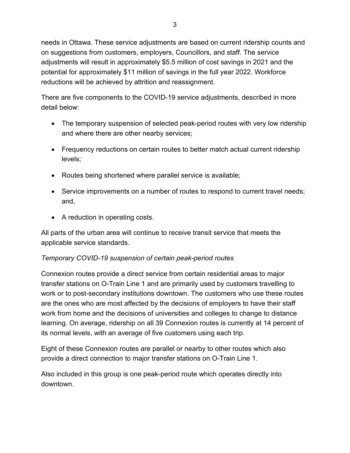needs in Ottawa. These service adjustments are based on current ridership counts and on suggestions from customers, employers, Councillors, and staff. The service adjustments will result in approximately \$5.5 million of cost savings in 2021 and the potential for approximately \$11 million of savings in the full year 2022. Workforce reductions will be achieved by attrition and reassignment.

There are five components to the COVID-19 service adjustments, described in more detail below:

- The temporary suspension of selected peak-period routes with very low ridership and where there are other nearby services;
- Frequency reductions on certain routes to better match actual current ridership levels;
- Routes being shortened where parallel service is available;
- Service improvements on a number of routes to respond to current travel needs; and,
- A reduction in operating costs.

All parts of the urban area will continue to receive transit service that meets the applicable service standards.

## *Temporary COVID-19 suspension of certain peak-period routes*

Connexion routes provide a direct service from certain residential areas to major transfer stations on O-Train Line 1 and are primarily used by customers travelling to work or to post-secondary institutions downtown. The customers who use these routes are the ones who are most affected by the decisions of employers to have their staff work from home and the decisions of universities and colleges to change to distance learning. On average, ridership on all 39 Connexion routes is currently at 14 percent of its normal levels, with an average of five customers using each trip.

Eight of these Connexion routes are parallel or nearby to other routes which also provide a direct connection to major transfer stations on O-Train Line 1.

Also included in this group is one peak-period route which operates directly into downtown.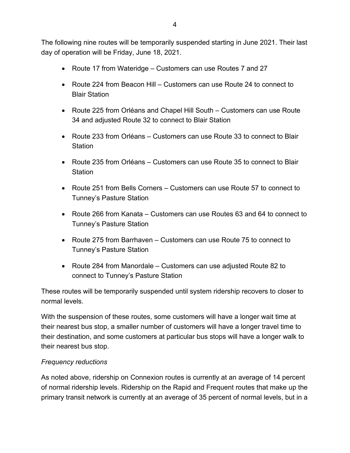The following nine routes will be temporarily suspended starting in June 2021. Their last day of operation will be Friday, June 18, 2021.

- Route 17 from Wateridge Customers can use Routes 7 and 27
- Route 224 from Beacon Hill Customers can use Route 24 to connect to Blair Station
- Route 225 from Orléans and Chapel Hill South Customers can use Route 34 and adjusted Route 32 to connect to Blair Station
- Route 233 from Orléans Customers can use Route 33 to connect to Blair **Station**
- Route 235 from Orléans Customers can use Route 35 to connect to Blair Station
- Route 251 from Bells Corners Customers can use Route 57 to connect to Tunney's Pasture Station
- Route 266 from Kanata Customers can use Routes 63 and 64 to connect to Tunney's Pasture Station
- Route 275 from Barrhaven Customers can use Route 75 to connect to Tunney's Pasture Station
- Route 284 from Manordale Customers can use adjusted Route 82 to connect to Tunney's Pasture Station

These routes will be temporarily suspended until system ridership recovers to closer to normal levels.

With the suspension of these routes, some customers will have a longer wait time at their nearest bus stop, a smaller number of customers will have a longer travel time to their destination, and some customers at particular bus stops will have a longer walk to their nearest bus stop.

### *Frequency reductions*

As noted above, ridership on Connexion routes is currently at an average of 14 percent of normal ridership levels. Ridership on the Rapid and Frequent routes that make up the primary transit network is currently at an average of 35 percent of normal levels, but in a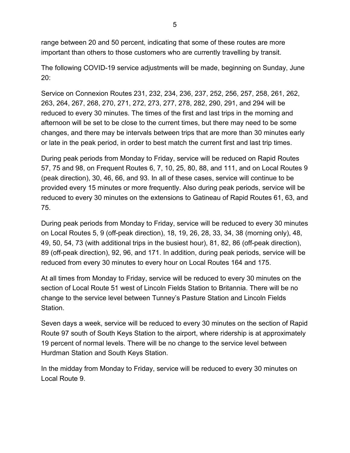range between 20 and 50 percent, indicating that some of these routes are more important than others to those customers who are currently travelling by transit.

The following COVID-19 service adjustments will be made, beginning on Sunday, June 20:

Service on Connexion Routes 231, 232, 234, 236, 237, 252, 256, 257, 258, 261, 262, 263, 264, 267, 268, 270, 271, 272, 273, 277, 278, 282, 290, 291, and 294 will be reduced to every 30 minutes. The times of the first and last trips in the morning and afternoon will be set to be close to the current times, but there may need to be some changes, and there may be intervals between trips that are more than 30 minutes early or late in the peak period, in order to best match the current first and last trip times.

During peak periods from Monday to Friday, service will be reduced on Rapid Routes 57, 75 and 98, on Frequent Routes 6, 7, 10, 25, 80, 88, and 111, and on Local Routes 9 (peak direction), 30, 46, 66, and 93. In all of these cases, service will continue to be provided every 15 minutes or more frequently. Also during peak periods, service will be reduced to every 30 minutes on the extensions to Gatineau of Rapid Routes 61, 63, and 75.

During peak periods from Monday to Friday, service will be reduced to every 30 minutes on Local Routes 5, 9 (off-peak direction), 18, 19, 26, 28, 33, 34, 38 (morning only), 48, 49, 50, 54, 73 (with additional trips in the busiest hour), 81, 82, 86 (off-peak direction), 89 (off-peak direction), 92, 96, and 171. In addition, during peak periods, service will be reduced from every 30 minutes to every hour on Local Routes 164 and 175.

At all times from Monday to Friday, service will be reduced to every 30 minutes on the section of Local Route 51 west of Lincoln Fields Station to Britannia. There will be no change to the service level between Tunney's Pasture Station and Lincoln Fields Station.

Seven days a week, service will be reduced to every 30 minutes on the section of Rapid Route 97 south of South Keys Station to the airport, where ridership is at approximately 19 percent of normal levels. There will be no change to the service level between Hurdman Station and South Keys Station.

In the midday from Monday to Friday, service will be reduced to every 30 minutes on Local Route 9.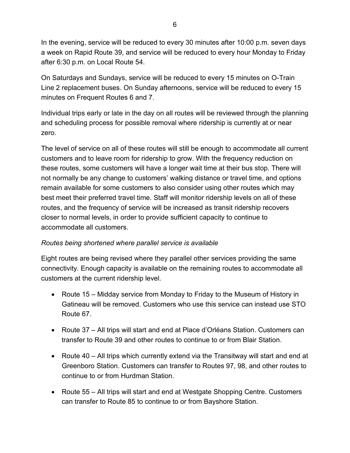In the evening, service will be reduced to every 30 minutes after 10:00 p.m. seven days a week on Rapid Route 39, and service will be reduced to every hour Monday to Friday after 6:30 p.m. on Local Route 54.

On Saturdays and Sundays, service will be reduced to every 15 minutes on O-Train Line 2 replacement buses. On Sunday afternoons, service will be reduced to every 15 minutes on Frequent Routes 6 and 7.

Individual trips early or late in the day on all routes will be reviewed through the planning and scheduling process for possible removal where ridership is currently at or near zero.

The level of service on all of these routes will still be enough to accommodate all current customers and to leave room for ridership to grow. With the frequency reduction on these routes, some customers will have a longer wait time at their bus stop. There will not normally be any change to customers' walking distance or travel time, and options remain available for some customers to also consider using other routes which may best meet their preferred travel time. Staff will monitor ridership levels on all of these routes, and the frequency of service will be increased as transit ridership recovers closer to normal levels, in order to provide sufficient capacity to continue to accommodate all customers.

### *Routes being shortened where parallel service is available*

Eight routes are being revised where they parallel other services providing the same connectivity. Enough capacity is available on the remaining routes to accommodate all customers at the current ridership level.

- Route 15 Midday service from Monday to Friday to the Museum of History in Gatineau will be removed. Customers who use this service can instead use STO Route 67.
- Route 37 All trips will start and end at Place d'Orléans Station. Customers can transfer to Route 39 and other routes to continue to or from Blair Station.
- Route 40 All trips which currently extend via the Transitway will start and end at Greenboro Station. Customers can transfer to Routes 97, 98, and other routes to continue to or from Hurdman Station.
- Route 55 All trips will start and end at Westgate Shopping Centre. Customers can transfer to Route 85 to continue to or from Bayshore Station.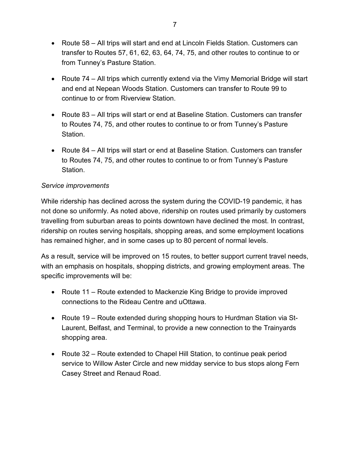- Route 58 All trips will start and end at Lincoln Fields Station. Customers can transfer to Routes 57, 61, 62, 63, 64, 74, 75, and other routes to continue to or from Tunney's Pasture Station.
- Route 74 All trips which currently extend via the Vimy Memorial Bridge will start and end at Nepean Woods Station. Customers can transfer to Route 99 to continue to or from Riverview Station.
- Route 83 All trips will start or end at Baseline Station. Customers can transfer to Routes 74, 75, and other routes to continue to or from Tunney's Pasture **Station**
- Route 84 All trips will start or end at Baseline Station. Customers can transfer to Routes 74, 75, and other routes to continue to or from Tunney's Pasture Station.

### *Service improvements*

While ridership has declined across the system during the COVID-19 pandemic, it has not done so uniformly. As noted above, ridership on routes used primarily by customers travelling from suburban areas to points downtown have declined the most. In contrast, ridership on routes serving hospitals, shopping areas, and some employment locations has remained higher, and in some cases up to 80 percent of normal levels.

As a result, service will be improved on 15 routes, to better support current travel needs, with an emphasis on hospitals, shopping districts, and growing employment areas. The specific improvements will be:

- Route 11 Route extended to Mackenzie King Bridge to provide improved connections to the Rideau Centre and uOttawa.
- Route 19 Route extended during shopping hours to Hurdman Station via St-Laurent, Belfast, and Terminal, to provide a new connection to the Trainyards shopping area.
- Route 32 Route extended to Chapel Hill Station, to continue peak period service to Willow Aster Circle and new midday service to bus stops along Fern Casey Street and Renaud Road.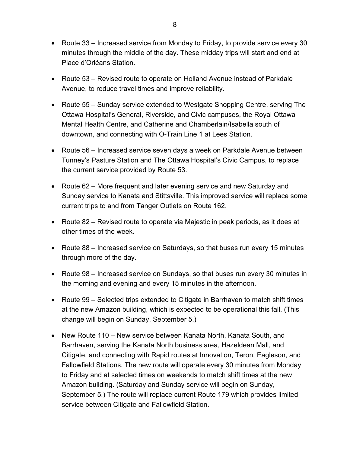- Route 33 Increased service from Monday to Friday, to provide service every 30 minutes through the middle of the day. These midday trips will start and end at Place d'Orléans Station.
- Route 53 Revised route to operate on Holland Avenue instead of Parkdale Avenue, to reduce travel times and improve reliability.
- Route 55 Sunday service extended to Westgate Shopping Centre, serving The Ottawa Hospital's General, Riverside, and Civic campuses, the Royal Ottawa Mental Health Centre, and Catherine and Chamberlain/Isabella south of downtown, and connecting with O-Train Line 1 at Lees Station.
- Route 56 Increased service seven days a week on Parkdale Avenue between Tunney's Pasture Station and The Ottawa Hospital's Civic Campus, to replace the current service provided by Route 53.
- Route 62 More frequent and later evening service and new Saturday and Sunday service to Kanata and Stittsville. This improved service will replace some current trips to and from Tanger Outlets on Route 162.
- Route 82 Revised route to operate via Majestic in peak periods, as it does at other times of the week.
- Route 88 Increased service on Saturdays, so that buses run every 15 minutes through more of the day.
- Route 98 Increased service on Sundays, so that buses run every 30 minutes in the morning and evening and every 15 minutes in the afternoon.
- Route 99 Selected trips extended to Citigate in Barrhaven to match shift times at the new Amazon building, which is expected to be operational this fall. (This change will begin on Sunday, September 5.)
- New Route 110 New service between Kanata North, Kanata South, and Barrhaven, serving the Kanata North business area, Hazeldean Mall, and Citigate, and connecting with Rapid routes at Innovation, Teron, Eagleson, and Fallowfield Stations. The new route will operate every 30 minutes from Monday to Friday and at selected times on weekends to match shift times at the new Amazon building. (Saturday and Sunday service will begin on Sunday, September 5.) The route will replace current Route 179 which provides limited service between Citigate and Fallowfield Station.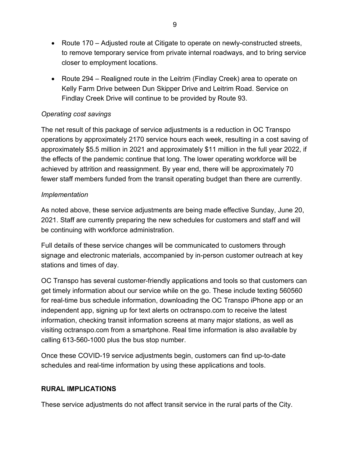- Route 170 Adjusted route at Citigate to operate on newly-constructed streets, to remove temporary service from private internal roadways, and to bring service closer to employment locations.
- Route 294 Realigned route in the Leitrim (Findlay Creek) area to operate on Kelly Farm Drive between Dun Skipper Drive and Leitrim Road. Service on Findlay Creek Drive will continue to be provided by Route 93.

### *Operating cost savings*

The net result of this package of service adjustments is a reduction in OC Transpo operations by approximately 2170 service hours each week, resulting in a cost saving of approximately \$5.5 million in 2021 and approximately \$11 million in the full year 2022, if the effects of the pandemic continue that long. The lower operating workforce will be achieved by attrition and reassignment. By year end, there will be approximately 70 fewer staff members funded from the transit operating budget than there are currently.

### *Implementation*

As noted above, these service adjustments are being made effective Sunday, June 20, 2021. Staff are currently preparing the new schedules for customers and staff and will be continuing with workforce administration.

Full details of these service changes will be communicated to customers through signage and electronic materials, accompanied by in-person customer outreach at key stations and times of day.

OC Transpo has several customer-friendly applications and tools so that customers can get timely information about our service while on the go. These include texting 560560 for real-time bus schedule information, downloading the OC Transpo iPhone app or an independent app, signing up for text alerts on octranspo.com to receive the latest information, checking transit information screens at many major stations, as well as visiting octranspo.com from a smartphone. Real time information is also available by calling 613-560-1000 plus the bus stop number.

Once these COVID-19 service adjustments begin, customers can find up-to-date schedules and real-time information by using these applications and tools.

#### **RURAL IMPLICATIONS**

These service adjustments do not affect transit service in the rural parts of the City.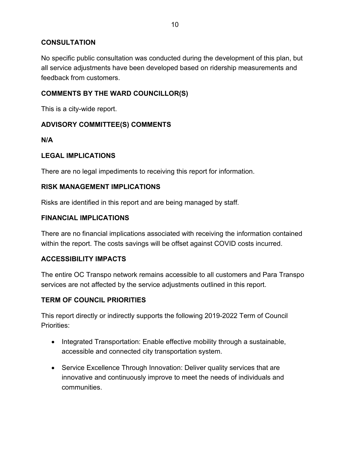### **CONSULTATION**

No specific public consultation was conducted during the development of this plan, but all service adjustments have been developed based on ridership measurements and feedback from customers.

### **COMMENTS BY THE WARD COUNCILLOR(S)**

This is a city-wide report.

### **ADVISORY COMMITTEE(S) COMMENTS**

**N/A**

#### **LEGAL IMPLICATIONS**

There are no legal impediments to receiving this report for information.

#### **RISK MANAGEMENT IMPLICATIONS**

Risks are identified in this report and are being managed by staff.

#### **FINANCIAL IMPLICATIONS**

There are no financial implications associated with receiving the information contained within the report. The costs savings will be offset against COVID costs incurred.

### **ACCESSIBILITY IMPACTS**

The entire OC Transpo network remains accessible to all customers and Para Transpo services are not affected by the service adjustments outlined in this report.

### **TERM OF COUNCIL PRIORITIES**

This report directly or indirectly supports the following 2019-2022 Term of Council Priorities:

- Integrated Transportation: Enable effective mobility through a sustainable, accessible and connected city transportation system.
- Service Excellence Through Innovation: Deliver quality services that are innovative and continuously improve to meet the needs of individuals and communities.